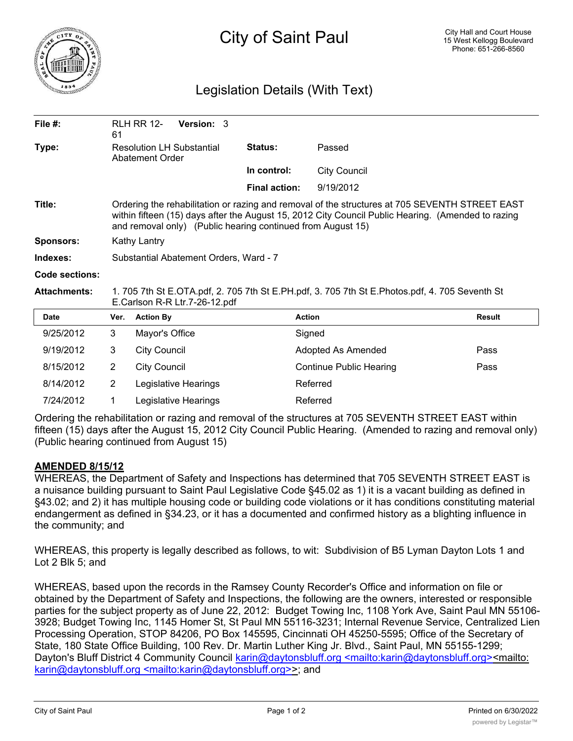

## Legislation Details (With Text)

| File $#$ :          | 61                                                                                                                                                                                                                                                                  | <b>RLH RR 12-</b>   | <b>Version: 3</b>    |  |                      |                                |               |
|---------------------|---------------------------------------------------------------------------------------------------------------------------------------------------------------------------------------------------------------------------------------------------------------------|---------------------|----------------------|--|----------------------|--------------------------------|---------------|
| Type:               | <b>Resolution LH Substantial</b><br>Abatement Order                                                                                                                                                                                                                 |                     |                      |  | <b>Status:</b>       | Passed                         |               |
|                     |                                                                                                                                                                                                                                                                     |                     |                      |  | In control:          | <b>City Council</b>            |               |
|                     |                                                                                                                                                                                                                                                                     |                     |                      |  | <b>Final action:</b> | 9/19/2012                      |               |
| Title:              | Ordering the rehabilitation or razing and removal of the structures at 705 SEVENTH STREET EAST<br>within fifteen (15) days after the August 15, 2012 City Council Public Hearing. (Amended to razing<br>and removal only) (Public hearing continued from August 15) |                     |                      |  |                      |                                |               |
| <b>Sponsors:</b>    | <b>Kathy Lantry</b>                                                                                                                                                                                                                                                 |                     |                      |  |                      |                                |               |
| Indexes:            | Substantial Abatement Orders, Ward - 7                                                                                                                                                                                                                              |                     |                      |  |                      |                                |               |
| Code sections:      |                                                                                                                                                                                                                                                                     |                     |                      |  |                      |                                |               |
| <b>Attachments:</b> | 1. 705 7th St E.OTA.pdf, 2. 705 7th St E.PH.pdf, 3. 705 7th St E.Photos.pdf, 4. 705 Seventh St<br>E.Carlson R-R Ltr.7-26-12.pdf                                                                                                                                     |                     |                      |  |                      |                                |               |
| Date                | Ver.                                                                                                                                                                                                                                                                | <b>Action By</b>    |                      |  |                      | <b>Action</b>                  | <b>Result</b> |
| 9/25/2012           | 3                                                                                                                                                                                                                                                                   | Mayor's Office      |                      |  |                      | Signed                         |               |
| 9/19/2012           | 3                                                                                                                                                                                                                                                                   | <b>City Council</b> |                      |  |                      | Adopted As Amended             | Pass          |
| 8/15/2012           | $\overline{2}$                                                                                                                                                                                                                                                      | <b>City Council</b> |                      |  |                      | <b>Continue Public Hearing</b> | Pass          |
| 8/14/2012           | $\overline{2}$                                                                                                                                                                                                                                                      |                     | Legislative Hearings |  |                      | Referred                       |               |
| 7/24/2012           | 1                                                                                                                                                                                                                                                                   |                     | Legislative Hearings |  |                      | Referred                       |               |

Ordering the rehabilitation or razing and removal of the structures at 705 SEVENTH STREET EAST within fifteen (15) days after the August 15, 2012 City Council Public Hearing. (Amended to razing and removal only) (Public hearing continued from August 15)

## **AMENDED 8/15/12**

WHEREAS, the Department of Safety and Inspections has determined that 705 SEVENTH STREET EAST is a nuisance building pursuant to Saint Paul Legislative Code §45.02 as 1) it is a vacant building as defined in §43.02; and 2) it has multiple housing code or building code violations or it has conditions constituting material endangerment as defined in §34.23, or it has a documented and confirmed history as a blighting influence in the community; and

WHEREAS, this property is legally described as follows, to wit: Subdivision of B5 Lyman Dayton Lots 1 and Lot 2 Blk 5; and

WHEREAS, based upon the records in the Ramsey County Recorder's Office and information on file or obtained by the Department of Safety and Inspections, the following are the owners, interested or responsible parties for the subject property as of June 22, 2012: Budget Towing Inc, 1108 York Ave, Saint Paul MN 55106- 3928; Budget Towing Inc, 1145 Homer St, St Paul MN 55116-3231; Internal Revenue Service, Centralized Lien Processing Operation, STOP 84206, PO Box 145595, Cincinnati OH 45250-5595; Office of the Secretary of State, 180 State Office Building, 100 Rev. Dr. Martin Luther King Jr. Blvd., Saint Paul, MN 55155-1299; Dayton's Bluff District 4 Community Council karin@daytonsbluff.org <mailto:karin@daytonsbluff.org><mailto: karin@daytonsbluff.org <mailto:karin@daytonsbluff.org>>; and